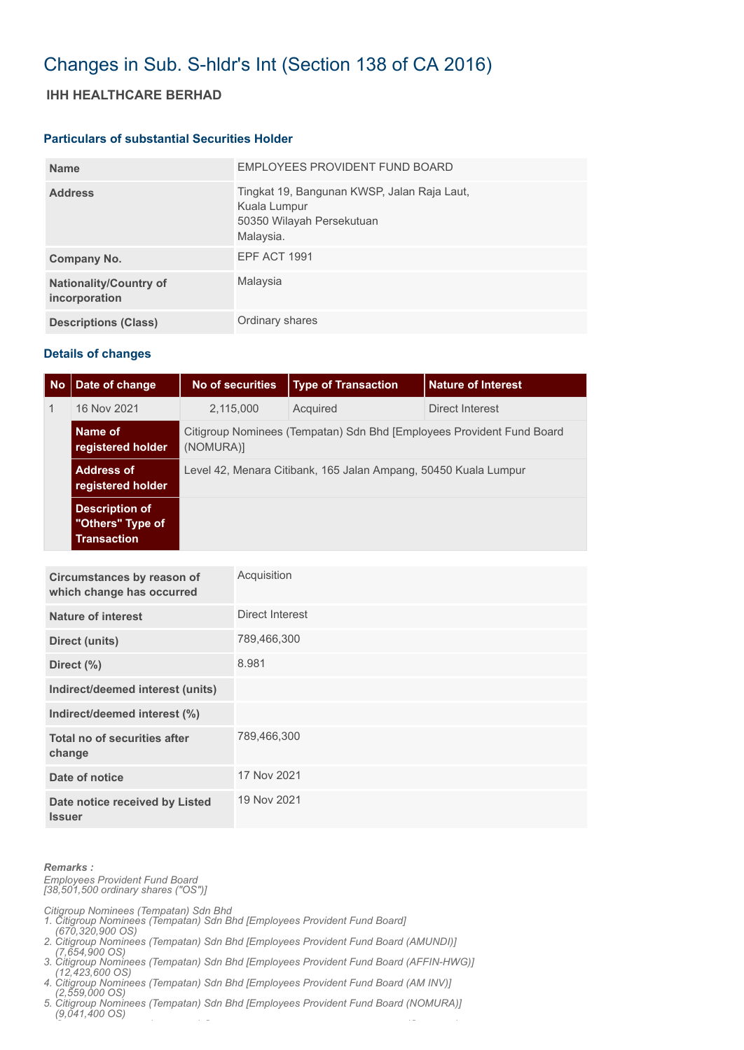# Changes in Sub. S-hldr's Int (Section 138 of CA 2016)

### **IHH HEALTHCARE BERHAD**

#### **Particulars of substantial Securities Holder**

| <b>Name</b>                                    | EMPLOYEES PROVIDENT FUND BOARD                                                                        |
|------------------------------------------------|-------------------------------------------------------------------------------------------------------|
| <b>Address</b>                                 | Tingkat 19, Bangunan KWSP, Jalan Raja Laut,<br>Kuala Lumpur<br>50350 Wilayah Persekutuan<br>Malaysia. |
| Company No.                                    | EPF ACT 1991                                                                                          |
| <b>Nationality/Country of</b><br>incorporation | Malaysia                                                                                              |
| <b>Descriptions (Class)</b>                    | Ordinary shares                                                                                       |

#### **Details of changes**

| No           | Date of change                                                  | No of securities                                                                   | <b>Type of Transaction</b> | <b>Nature of Interest</b> |  |  |
|--------------|-----------------------------------------------------------------|------------------------------------------------------------------------------------|----------------------------|---------------------------|--|--|
| $\mathbf{1}$ | 16 Nov 2021                                                     | 2,115,000                                                                          | Acquired                   | Direct Interest           |  |  |
|              | Name of<br>registered holder                                    | Citigroup Nominees (Tempatan) Sdn Bhd [Employees Provident Fund Board<br>(NOMURA)] |                            |                           |  |  |
|              | <b>Address of</b><br>registered holder                          | Level 42, Menara Citibank, 165 Jalan Ampang, 50450 Kuala Lumpur                    |                            |                           |  |  |
|              | <b>Description of</b><br>"Others" Type of<br><b>Transaction</b> |                                                                                    |                            |                           |  |  |

| Circumstances by reason of<br>which change has occurred | Acquisition     |
|---------------------------------------------------------|-----------------|
| <b>Nature of interest</b>                               | Direct Interest |
| Direct (units)                                          | 789,466,300     |
| Direct (%)                                              | 8.981           |
| Indirect/deemed interest (units)                        |                 |
| Indirect/deemed interest (%)                            |                 |
| Total no of securities after<br>change                  | 789,466,300     |
| Date of notice                                          | 17 Nov 2021     |
| Date notice received by Listed<br><b>Issuer</b>         | 19 Nov 2021     |

#### *Remarks :*

*Employees Provident Fund Board [38,501,500 ordinary shares ("OS")]*

*Citigroup Nominees (Tempatan) Sdn Bhd* 

- *1. Citigroup Nominees (Tempatan) Sdn Bhd [Employees Provident Fund Board]*
- *(670,320,900 OS) 2. Citigroup Nominees (Tempatan) Sdn Bhd [Employees Provident Fund Board (AMUNDI)]*
- *(7,654,900 OS) 3. Citigroup Nominees (Tempatan) Sdn Bhd [Employees Provident Fund Board (AFFIN-HWG)]*
- *(12,423,600 OS) 4. Citigroup Nominees (Tempatan) Sdn Bhd [Employees Provident Fund Board (AM INV)]*
- *(2,559,000 OS)*
- *5. Citigroup Nominees (Tempatan) Sdn Bhd [Employees Provident Fund Board (NOMURA)] (9,041,400 OS) C ( ) S (C )*